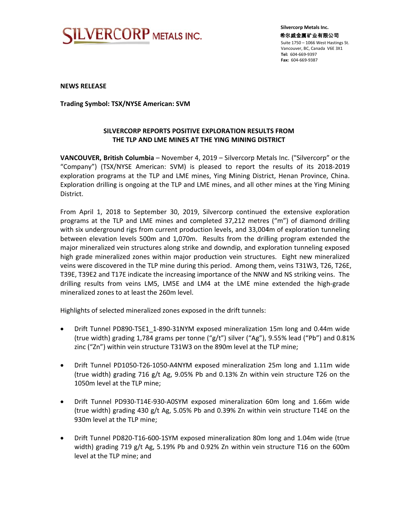# TLVERCORP METALS INC.

 **Silvercorp M Metals Inc.**  希尔威金属 矿业有限公司 Suite 1750 – 1 1066 West Hastings St. Vancouver, B C, Canada V6E 3X1  **Tel:** 604‐669‐ ‐9397  **Fax:** 604‐669 9‐9387

**NEWS S RELEASE** 

**Trading Symbol: TSX/NYSE American: SVM** 

### SILVERCORP REPORTS POSITIVE EXPLORATION RESULTS FROM THE TLP AND LME MINES AT THE YING MINING DISTRICT

**VANCOUVER, British Columbia** – November 4, 2019 – Silvercorp Metals Inc. ("Silvercorp" or the "Company") (TSX/NYSE American: SVM) is pleased to report the results of its 2018-2019 exploration programs at the TLP and LME mines, Ying Mining District, Henan Province, China. Exploration drilling is ongoing at the TLP and LME mines, and all other mines at the Ying Mining District.

From April 1, 2018 to September 30, 2019, Silvercorp continued the extensive exploration programs at the TLP and LME mines and completed 37,212 metres ("m") of diamond drilling with six underground rigs from current production levels, and 33,004m of exploration tunneling between elevation levels 500m and 1,070m. Results from the drilling program extended the major mineralized vein structures along strike and downdip, and exploration tunneling exposed high grade mineralized zones within major production vein structures. Eight new mineralized veins were discovered in the TLP mine during this period. Among them, veins T31W3, T26, T26E, T39E, T39E2 and T17E indicate the increasing importance of the NNW and NS striking veins. The drilling results from veins LM5, LM5E and LM4 at the LME mine extended the high-grade mineralized zones to at least the 260m level.

Highlights of selected mineralized zones exposed in the drift tunnels:

- Drift Tunnel PD890-T5E1\_1-890-31NYM exposed mineralization 15m long and 0.44m wide (true width) grading 1,784 grams per tonne ("g/t") silver ("Ag"), 9.55% lead ("Pb") and 0.81% zinc ("Zn") within vein structure T31W3 on the 890m level at the TLP mine;
- Drift Tunnel PD1050-T26-1050-A4NYM exposed mineralization 25m long and 1.11m wide (true width) grading 716 g/t Ag, 9.05% Pb and 0.13% Zn within vein structure T26 on the 1050m level at the TLP mine;
- Drift Tunnel PD930-T14E-930-A0SYM exposed mineralization 60m long and 1.66m wide (true width) grading 430 g/t Ag, 5.05% Pb and 0.39% Zn within vein structure T14E on the 930m level at the TLP mine;
- Drift Tunnel PD820-T16-600-1SYM exposed mineralization 80m long and 1.04m wide (true width) grading 719 g/t Ag, 5.19% Pb and 0.92% Zn within vein structure T16 on the 600m level at the TLP mine; and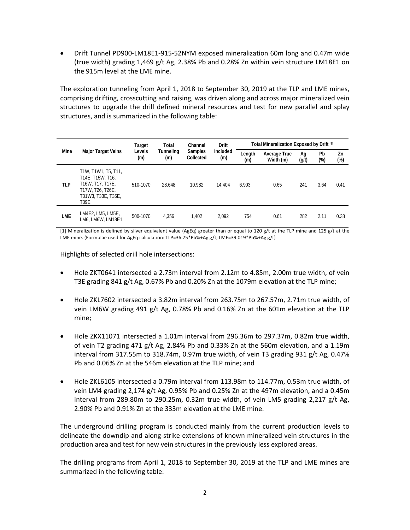Drift Tunnel PD900‐LM18E1‐915‐52NYM exposed mineralization 60m long and 0.47m wide (true width) grading 1,469 g/t Ag, 2.38% Pb and 0.28% Zn within vein structure LM18E1 on the 915m level at the LME mine.

The exploration tunneling from April 1, 2018 to September 30, 2019 at the TLP and LME mines, comprising drifting, crosscutting and raising, was driven along and across major mineralized vein structures to upgrade the drill defined mineral resources and test for new parallel and splay structures, and is summarized in the following table:

| Mine       |                                                                                                               | Target        | Total            | Channel                     | Drift           | Total Mineralization Exposed by Drift [1] |                                                               |       |           |              |
|------------|---------------------------------------------------------------------------------------------------------------|---------------|------------------|-----------------------------|-----------------|-------------------------------------------|---------------------------------------------------------------|-------|-----------|--------------|
|            | <b>Major Target Veins</b>                                                                                     | Levels<br>(m) | Tunneling<br>(m) | <b>Samples</b><br>Collected | Included<br>(m) | Length<br>(m)                             | <b>Average True</b><br>Ag<br>Width (m)<br>241<br>0.65<br>0.61 | (g/t) | Pb<br>(%) | Zn<br>$(\%)$ |
| <b>TLP</b> | T1W. T1W1. T5. T11.<br>T14E, T15W, T16,<br>T16W, T17, T17E,<br>T17W. T26. T26E.<br>T31W3, T33E, T35E,<br>T39E | 510-1070      | 28.648           | 10.982                      | 14.404          | 6.903                                     |                                                               |       | 3.64      | 0.41         |
| LME        | LM4E2, LM5, LM5E,<br>LM6. LM6W. LM18E1                                                                        | 500-1070      | 4.356            | 1.402                       | 2,092           | 754                                       |                                                               | 282   | 2.11      | 0.38         |

[1] Mineralization is defined by silver equivalent value (AgEq) greater than or equal to 120 g/t at the TLP mine and 125 g/t at the LME mine. (Formulae used for AgEq calculation: TLP=36.75\*Pb%+Ag g/t; LME=39.019\*Pb%+Ag g/t)

Highlights of selected drill hole intersections:

- Hole ZKT0641 intersected a 2.73m interval from 2.12m to 4.85m, 2.00m true width, of vein T3E grading 841 g/t Ag, 0.67% Pb and 0.20% Zn at the 1079m elevation at the TLP mine;
- Hole ZKL7602 intersected a 3.82m interval from 263.75m to 267.57m, 2.71m true width, of vein LM6W grading 491 g/t Ag, 0.78% Pb and 0.16% Zn at the 601m elevation at the TLP mine;
- Hole ZKX11071 intersected a 1.01m interval from 296.36m to 297.37m, 0.82m true width, of vein T2 grading 471 g/t Ag, 2.84% Pb and 0.33% Zn at the 560m elevation, and a 1.19m interval from 317.55m to 318.74m, 0.97m true width, of vein T3 grading 931 g/t Ag, 0.47% Pb and 0.06% Zn at the 546m elevation at the TLP mine; and
- Hole ZKL6105 intersected a 0.79m interval from 113.98m to 114.77m, 0.53m true width, of vein LM4 grading 2,174 g/t Ag, 0.95% Pb and 0.25% Zn at the 497m elevation, and a 0.45m interval from  $289.80$ m to  $290.25$ m,  $0.32$ m true width, of vein LM5 grading  $2.217$  g/t Ag, 2.90% Pb and 0.91% Zn at the 333m elevation at the LME mine.

The underground drilling program is conducted mainly from the current production levels to delineate the downdip and along‐strike extensions of known mineralized vein structures in the production area and test for new vein structures in the previously less explored areas.

The drilling programs from April 1, 2018 to September 30, 2019 at the TLP and LME mines are summarized in the following table: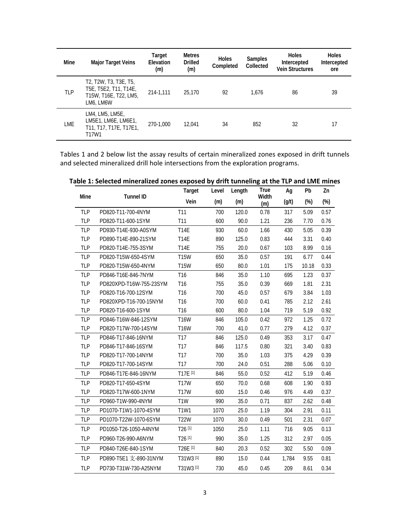| Mine       | <b>Major Target Veins</b>                                                            | Target<br>Elevation<br>(m) | <b>Metres</b><br><b>Drilled</b><br>(m) | <b>Holes</b><br>Completed | <b>Samples</b><br>Collected | <b>Holes</b><br>Intercepted<br><b>Vein Structures</b> | <b>Holes</b><br>Intercepted<br>ore |
|------------|--------------------------------------------------------------------------------------|----------------------------|----------------------------------------|---------------------------|-----------------------------|-------------------------------------------------------|------------------------------------|
| <b>TLP</b> | T2, T2W, T3, T3E, T5,<br>T5E, T5E2, T11, T14E,<br>T15W, T16E, T22, LM5,<br>LM6, LM6W | 214-1,111                  | 25.170                                 | 92                        | 1.676                       | 86                                                    | 39                                 |
| <b>LME</b> | LM4, LM5, LM5E,<br>LM5E1, LM6E, LM6E1,<br>T11, T17, T17E, T17E1,<br>T17W1            | 270-1.000                  | 12.041                                 | 34                        | 852                         | 32                                                    | 17                                 |

Tables 1 and 2 below list the assay results of certain mineralized zones exposed in drift tunnels and selected mineralized drill hole intersections from the exploration programs.

|            |                         | Target               | Level | Length | True         | Ag    | Pb     | Zn     |
|------------|-------------------------|----------------------|-------|--------|--------------|-------|--------|--------|
| Mine       | <b>Tunnel ID</b>        | Vein                 | (m)   | (m)    | Width<br>(m) | (g/t) | $(\%)$ | $(\%)$ |
| <b>TLP</b> | PD820-T11-700-4NYM      | T11                  | 700   | 120.0  | 0.78         | 317   | 5.09   | 0.57   |
| <b>TLP</b> | PD820-T11-600-1SYM      | <b>T11</b>           | 600   | 90.0   | 1.21         | 236   | 7.70   | 0.76   |
| <b>TLP</b> | PD930-T14E-930-A0SYM    | <b>T14E</b>          | 930   | 60.0   | 1.66         | 430   | 5.05   | 0.39   |
| <b>TLP</b> | PD890-T14E-890-21SYM    | <b>T14E</b>          | 890   | 125.0  | 0.83         | 444   | 3.31   | 0.40   |
| <b>TLP</b> | PD820-T14E-755-3SYM     | <b>T14E</b>          | 755   | 20.0   | 0.67         | 103   | 8.99   | 0.16   |
| <b>TLP</b> | PD820-T15W-650-4SYM     | <b>T15W</b>          | 650   | 35.0   | 0.57         | 191   | 6.77   | 0.44   |
| <b>TLP</b> | PD820-T15W-650-4NYM     | <b>T15W</b>          | 650   | 80.0   | 1.01         | 175   | 10.18  | 0.33   |
| <b>TLP</b> | PD846-T16E-846-7NYM     | T16                  | 846   | 35.0   | 1.10         | 695   | 1.23   | 0.37   |
| <b>TLP</b> | PD820XPD-T16W-755-23SYM | T16                  | 755   | 35.0   | 0.39         | 669   | 1.81   | 2.31   |
| <b>TLP</b> | PD820-T16-700-12SYM     | T16                  | 700   | 45.0   | 0.57         | 679   | 3.84   | 1.03   |
| <b>TLP</b> | PD820XPD-T16-700-15NYM  | T16                  | 700   | 60.0   | 0.41         | 785   | 2.12   | 2.61   |
| <b>TLP</b> | PD820-T16-600-1SYM      | T16                  | 600   | 80.0   | 1.04         | 719   | 5.19   | 0.92   |
| <b>TLP</b> | PD846-T16W-846-12SYM    | <b>T16W</b>          | 846   | 105.0  | 0.42         | 972   | 1.25   | 0.72   |
| <b>TLP</b> | PD820-T17W-700-14SYM    | T16W                 | 700   | 41.0   | 0.77         | 279   | 4.12   | 0.37   |
| <b>TLP</b> | PD846-T17-846-16NYM     | T17                  | 846   | 125.0  | 0.49         | 353   | 3.17   | 0.47   |
| <b>TLP</b> | PD846-T17-846-16SYM     | T17                  | 846   | 117.5  | 0.80         | 321   | 3.40   | 0.83   |
| <b>TLP</b> | PD820-T17-700-14NYM     | T17                  | 700   | 35.0   | 1.03         | 375   | 4.29   | 0.39   |
| <b>TLP</b> | PD820-T17-700-14SYM     | <b>T17</b>           | 700   | 24.0   | 0.51         | 288   | 5.06   | 0.10   |
| <b>TLP</b> | PD846-T17E-846-16NYM    | T17E [1]             | 846   | 55.0   | 0.52         | 412   | 5.19   | 0.46   |
| <b>TLP</b> | PD820-T17-650-4SYM      | <b>T17W</b>          | 650   | 70.0   | 0.68         | 608   | 1.90   | 0.93   |
| <b>TLP</b> | PD820-T17W-600-1NYM     | <b>T17W</b>          | 600   | 15.0   | 0.46         | 976   | 4.49   | 0.37   |
| <b>TLP</b> | PD960-T1W-990-4NYM      | T <sub>1</sub> W     | 990   | 35.0   | 0.71         | 837   | 2.62   | 0.48   |
| <b>TLP</b> | PD1070-T1W1-1070-4SYM   | <b>T1W1</b>          | 1070  | 25.0   | 1.19         | 304   | 2.91   | 0.11   |
| <b>TLP</b> | PD1070-T22W-1070-6SYM   | <b>T22W</b>          | 1070  | 30.0   | 0.49         | 501   | 2.31   | 0.07   |
| <b>TLP</b> | PD1050-T26-1050-A4NYM   | $T26$ <sup>[1]</sup> | 1050  | 25.0   | 1.11         | 716   | 9.05   | 0.13   |
| <b>TLP</b> | PD960-T26-990-A6NYM     | T26 [1]              | 990   | 35.0   | 1.25         | 312   | 2.97   | 0.05   |
| <b>TLP</b> | PD840-T26E-840-1SYM     | T26E [1]             | 840   | 20.3   | 0.52         | 302   | 5.50   | 0.09   |
| <b>TLP</b> | PD890-T5E1 支-890-31NYM  | T31W3 [1]            | 890   | 15.0   | 0.44         | 1,784 | 9.55   | 0.81   |
| <b>TLP</b> | PD730-T31W-730-A25NYM   | T31W3 [1]            | 730   | 45.0   | 0.45         | 209   | 8.61   | 0.34   |

**Table 1: Selected mineralized zones exposed by drift tunneling at the TLP and LME mines**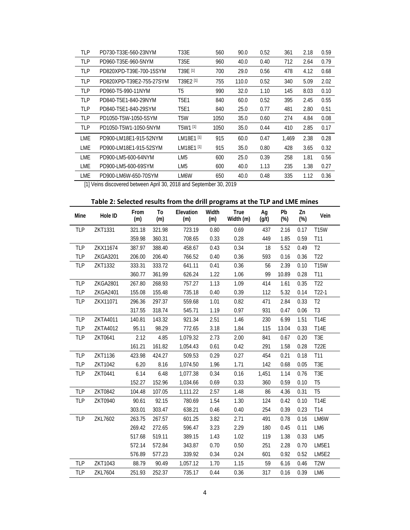| TLP        | PD730-T33E-560-23NYM     | T33E                | 560  | 90.0  | 0.52 | 361   | 2.18 | 0.59 |
|------------|--------------------------|---------------------|------|-------|------|-------|------|------|
| TLP        | PD960-T35E-960-5NYM      | T35E                | 960  | 40.0  | 0.40 | 712   | 2.64 | 0.79 |
| TLP        | PD820XPD-T39E-700-15SYM  | T39E <sup>[1]</sup> | 700  | 29.0  | 0.56 | 478   | 4.12 | 0.68 |
| <b>TLP</b> | PD820XPD-T39E2-755-27SYM | T39E2[1]            | 755  | 110.0 | 0.52 | 340   | 5.09 | 2.02 |
| <b>TLP</b> | PD960-T5-990-11NYM       | T5                  | 990  | 32.0  | 1.10 | 145   | 8.03 | 0.10 |
| <b>TLP</b> | PD840-T5E1-840-29NYM     | T5E1                | 840  | 60.0  | 0.52 | 395   | 2.45 | 0.55 |
| <b>TLP</b> | PD840-T5E1-840-29SYM     | T5E1                | 840  | 25.0  | 0.77 | 481   | 2.80 | 0.51 |
| TLP        | PD1050-T5W-1050-5SYM     | T <sub>5</sub> W    | 1050 | 35.0  | 0.60 | 274   | 4.84 | 0.08 |
| <b>TLP</b> | PD1050-T5W1-1050-5NYM    | T5W1 [1]            | 1050 | 35.0  | 0.44 | 410   | 2.85 | 0.17 |
| LME        | PD900-LM18E1-915-52NYM   | LM18E1 [1]          | 915  | 60.0  | 0.47 | 1.469 | 2.38 | 0.28 |
| LME        | PD900-LM18E1-915-52SYM   | LM18E1[1]           | 915  | 35.0  | 0.80 | 428   | 3.65 | 0.32 |
| LME        | PD900-LM5-600-64NYM      | LM <sub>5</sub>     | 600  | 25.0  | 0.39 | 258   | 1.81 | 0.56 |
| LME        | PD900-LM5-600-69SYM      | LM5                 | 600  | 40.0  | 1.13 | 235   | 1.38 | 0.27 |
| LME        | PD900-LM6W-650-70SYM     | LM6W                | 650  | 40.0  | 0.48 | 335   | 1.12 | 0.36 |

[1] Veins discovered between April 30, 2018 and September 30, 2019

## **Table 2: Selected results from the drill programs at the TLP and LME mines**

| Mine       | Hole ID         | From<br>(m) | To<br>(m) | Elevation<br>(m) | Width<br>(m) | <b>True</b><br>Width (m) | Ag<br>(g/t) | Pb<br>$(\%)$ | Zn<br>$(\%)$ | Vein             |
|------------|-----------------|-------------|-----------|------------------|--------------|--------------------------|-------------|--------------|--------------|------------------|
| TLP        | ZKT1331         | 321.18      | 321.98    | 723.19           | 0.80         | 0.69                     | 437         | 2.16         | 0.17         | <b>T15W</b>      |
|            |                 | 359.98      | 360.31    | 708.65           | 0.33         | 0.28                     | 449         | 1.85         | 0.59         | <b>T11</b>       |
| <b>TLP</b> | ZKX11674        | 387.97      | 388.40    | 458.67           | 0.43         | 0.34                     | 18          | 5.52         | 0.49         | T <sub>2</sub>   |
| <b>TLP</b> | <b>ZKGA3201</b> | 206.00      | 206.40    | 766.52           | 0.40         | 0.36                     | 593         | 0.16         | 0.36         | T22              |
| <b>TLP</b> | ZKT1332         | 333.31      | 333.72    | 641.11           | 0.41         | 0.36                     | 56          | 2.39         | 0.10         | <b>T15W</b>      |
|            |                 | 360.77      | 361.99    | 626.24           | 1.22         | 1.06                     | 99          | 10.89        | 0.28         | T11              |
| <b>TLP</b> | <b>ZKGA2801</b> | 267.80      | 268.93    | 757.27           | 1.13         | 1.09                     | 414         | 1.61         | 0.35         | T <sub>22</sub>  |
| <b>TLP</b> | <b>ZKGA2401</b> | 155.08      | 155.48    | 735.18           | 0.40         | 0.39                     | 112         | 5.32         | 0.14         | $T22-1$          |
| TLP        | ZKX11071        | 296.36      | 297.37    | 559.68           | 1.01         | 0.82                     | 471         | 2.84         | 0.33         | T <sub>2</sub>   |
|            |                 | 317.55      | 318.74    | 545.71           | 1.19         | 0.97                     | 931         | 0.47         | 0.06         | T <sub>3</sub>   |
| <b>TLP</b> | ZKTA4011        | 140.81      | 143.32    | 921.34           | 2.51         | 1.46                     | 230         | 6.99         | 1.51         | <b>T14E</b>      |
| <b>TLP</b> | ZKTA4012        | 95.11       | 98.29     | 772.65           | 3.18         | 1.84                     | 115         | 13.04        | 0.33         | <b>T14E</b>      |
| <b>TLP</b> | ZKT0641         | 2.12        | 4.85      | 1,079.32         | 2.73         | 2.00                     | 841         | 0.67         | 0.20         | T3E              |
|            |                 | 161.21      | 161.82    | 1,054.43         | 0.61         | 0.42                     | 291         | 1.58         | 0.28         | <b>T22E</b>      |
| <b>TLP</b> | ZKT1136         | 423.98      | 424.27    | 509.53           | 0.29         | 0.27                     | 454         | 0.21         | 0.18         | T11              |
| <b>TLP</b> | ZKT1042         | 6.20        | 8.16      | 1,074.50         | 1.96         | 1.71                     | 142         | 0.68         | 0.05         | T <sub>3</sub> E |
| <b>TLP</b> | ZKT0441         | 6.14        | 6.48      | 1,077.38         | 0.34         | 0.16                     | 1,451       | 1.14         | 0.76         | T3E              |
|            |                 | 152.27      | 152.96    | 1,034.66         | 0.69         | 0.33                     | 360         | 0.59         | 0.10         | T <sub>5</sub>   |
| <b>TLP</b> | ZKT0842         | 104.48      | 107.05    | 1,111.22         | 2.57         | 1.48                     | 86          | 4.36         | 0.31         | T <sub>5</sub>   |
| <b>TLP</b> | ZKT0940         | 90.61       | 92.15     | 780.69           | 1.54         | 1.30                     | 124         | 0.42         | 0.10         | <b>T14E</b>      |
|            |                 | 303.01      | 303.47    | 638.21           | 0.46         | 0.40                     | 254         | 0.39         | 0.23         | T <sub>14</sub>  |
| <b>TLP</b> | ZKL7602         | 263.75      | 267.57    | 601.25           | 3.82         | 2.71                     | 491         | 0.78         | 0.16         | LM6W             |
|            |                 | 269.42      | 272.65    | 596.47           | 3.23         | 2.29                     | 180         | 0.45         | 0.11         | LM6              |
|            |                 | 517.68      | 519.11    | 389.15           | 1.43         | 1.02                     | 119         | 1.38         | 0.33         | LM <sub>5</sub>  |
|            |                 | 572.14      | 572.84    | 343.87           | 0.70         | 0.50                     | 251         | 2.28         | 0.70         | LM5E1            |
|            |                 | 576.89      | 577.23    | 339.92           | 0.34         | 0.24                     | 601         | 0.92         | 0.52         | LM5E2            |
| <b>TLP</b> | ZKT1043         | 88.79       | 90.49     | 1,057.12         | 1.70         | 1.15                     | 59          | 6.16         | 0.46         | T <sub>2</sub> W |
| <b>TLP</b> | ZKL7604         | 251.93      | 252.37    | 735.17           | 0.44         | 0.36                     | 317         | 0.16         | 0.39         | LM6              |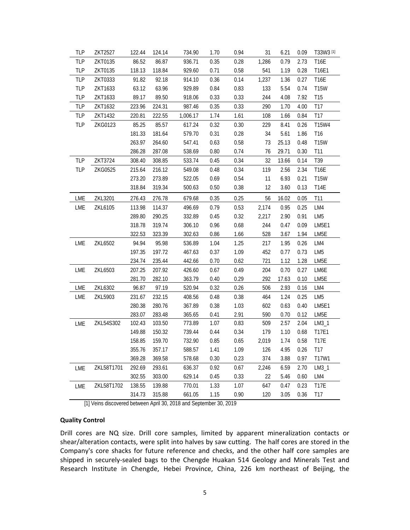| <b>TLP</b> | ZKT2527    | 122.44 | 124.14 | 734.90   | 1.70 | 0.94 | 31    | 6.21  | 0.09 | T33W3 [1]       |
|------------|------------|--------|--------|----------|------|------|-------|-------|------|-----------------|
| <b>TLP</b> | ZKT0135    | 86.52  | 86.87  | 936.71   | 0.35 | 0.28 | 1,286 | 0.79  | 2.73 | <b>T16E</b>     |
| <b>TLP</b> | ZKT0135    | 118.13 | 118.84 | 929.60   | 0.71 | 0.58 | 541   | 1.19  | 0.28 | T16E1           |
| <b>TLP</b> | ZKT0333    | 91.82  | 92.18  | 914.10   | 0.36 | 0.14 | 1,237 | 1.36  | 0.27 | <b>T16E</b>     |
| <b>TLP</b> | ZKT1633    | 63.12  | 63.96  | 929.89   | 0.84 | 0.83 | 133   | 5.54  | 0.74 | <b>T15W</b>     |
| <b>TLP</b> | ZKT1633    | 89.17  | 89.50  | 918.06   | 0.33 | 0.33 | 244   | 4.08  | 7.92 | T <sub>15</sub> |
| <b>TLP</b> | ZKT1632    | 223.96 | 224.31 | 987.46   | 0.35 | 0.33 | 290   | 1.70  | 4.00 | T17             |
| <b>TLP</b> | ZKT1432    | 220.81 | 222.55 | 1,006.17 | 1.74 | 1.61 | 108   | 1.66  | 0.84 | T <sub>17</sub> |
| <b>TLP</b> | ZKG0123    | 85.25  | 85.57  | 617.24   | 0.32 | 0.30 | 229   | 8.41  | 0.26 | T15W4           |
|            |            | 181.33 | 181.64 | 579.70   | 0.31 | 0.28 | 34    | 5.61  | 1.86 | T <sub>16</sub> |
|            |            | 263.97 | 264.60 | 547.41   | 0.63 | 0.58 | 73    | 25.13 | 0.48 | <b>T15W</b>     |
|            |            | 286.28 | 287.08 | 538.69   | 0.80 | 0.74 | 76    | 29.71 | 0.30 | T11             |
| <b>TLP</b> | ZKT3724    | 308.40 | 308.85 | 533.74   | 0.45 | 0.34 | 32    | 13.66 | 0.14 | T39             |
| <b>TLP</b> | ZKG0525    | 215.64 | 216.12 | 549.08   | 0.48 | 0.34 | 119   | 2.56  | 2.34 | <b>T16E</b>     |
|            |            | 273.20 | 273.89 | 522.05   | 0.69 | 0.54 | 11    | 6.93  | 0.21 | <b>T15W</b>     |
|            |            | 318.84 | 319.34 | 500.63   | 0.50 | 0.38 | 12    | 3.60  | 0.13 | <b>T14E</b>     |
| LME        | ZKL3201    | 276.43 | 276.78 | 679.68   | 0.35 | 0.25 | 56    | 16.02 | 0.05 | T11             |
| LME        | ZKL6105    | 113.98 | 114.37 | 496.69   | 0.79 | 0.53 | 2,174 | 0.95  | 0.25 | LM4             |
|            |            | 289.80 | 290.25 | 332.89   | 0.45 | 0.32 | 2,217 | 2.90  | 0.91 | LM5             |
|            |            | 318.78 | 319.74 | 306.10   | 0.96 | 0.68 | 244   | 0.47  | 0.09 | LM5E1           |
|            |            | 322.53 | 323.39 | 302.63   | 0.86 | 1.66 | 528   | 3.67  | 1.94 | LM5E            |
| LME        | ZKL6502    | 94.94  | 95.98  | 536.89   | 1.04 | 1.25 | 217   | 1.95  | 0.26 | LM4             |
|            |            | 197.35 | 197.72 | 467.63   | 0.37 | 1.09 | 452   | 0.77  | 0.73 | LM5             |
|            |            | 234.74 | 235.44 | 442.66   | 0.70 | 0.62 | 721   | 1.12  | 1.28 | LM5E            |
| LME        | ZKL6503    | 207.25 | 207.92 | 426.60   | 0.67 | 0.49 | 204   | 0.70  | 0.27 | LM6E            |
|            |            | 281.70 | 282.10 | 363.79   | 0.40 | 0.29 | 292   | 17.63 | 0.10 | LM5E            |
| LME        | ZKL6302    | 96.87  | 97.19  | 520.94   | 0.32 | 0.26 | 506   | 2.93  | 0.16 | LM4             |
| LME        | ZKL5903    | 231.67 | 232.15 | 408.56   | 0.48 | 0.38 | 464   | 1.24  | 0.25 | LM5             |
|            |            | 280.38 | 280.76 | 367.89   | 0.38 | 1.03 | 602   | 0.63  | 0.40 | LM5E1           |
|            |            | 283.07 | 283.48 | 365.65   | 0.41 | 2.91 | 590   | 0.70  | 0.12 | LM5E            |
| LME        | ZKL54S302  | 102.43 | 103.50 | 773.89   | 1.07 | 0.83 | 509   | 2.57  | 2.04 | $LM3_1$         |
|            |            | 149.88 | 150.32 | 739.44   | 0.44 | 0.34 | 179   | 1.10  | 0.68 | T17E1           |
|            |            | 158.85 | 159.70 | 732.90   | 0.85 | 0.65 | 2,019 | 1.74  | 0.58 | <b>T17E</b>     |
|            |            | 355.76 | 357.17 | 588.57   | 1.41 | 1.09 | 126   | 4.95  | 0.26 | T17             |
|            |            | 369.28 | 369.58 | 578.68   | 0.30 | 0.23 | 374   | 3.88  | 0.97 | T17W1           |
| LME        | ZKL58T1701 | 292.69 | 293.61 | 636.37   | 0.92 | 0.67 | 2,246 | 6.59  | 2.70 | $LM3_1$         |
|            |            | 302.55 | 303.00 | 629.14   | 0.45 | 0.33 | 22    | 5.46  | 0.60 | LM4             |
| LME        | ZKL58T1702 | 138.55 | 139.88 | 770.01   | 1.33 | 1.07 | 647   | 0.47  | 0.23 | <b>T17E</b>     |
|            |            | 314.73 | 315.88 | 661.05   | 1.15 | 0.90 | 120   | 3.05  | 0.36 | T17             |

[1] Veins discovered between April 30, 2018 and September 30, 2019

#### **Quality Control**

Drill cores are NQ size. Drill core samples, limited by apparent mineralization contacts or shear/alteration contacts, were split into halves by saw cutting. The half cores are stored in the Company's core shacks for future reference and checks, and the other half core samples are shipped in securely-sealed bags to the Chengde Huakan 514 Geology and Minerals Test and Research Institute in Chengde, Hebei Province, China, 226 km northeast of Beijing, the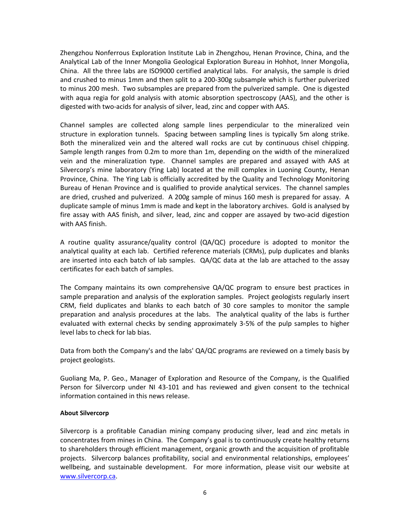Zhengzhou Nonferrous Exploration Institute Lab in Zhengzhou, Henan Province, China, and the Analytical Lab of the Inner Mongolia Geological Exploration Bureau in Hohhot, Inner Mongolia, China. All the three labs are ISO9000 certified analytical labs. For analysis, the sample is dried and crushed to minus 1mm and then split to a 200‐300g subsample which is further pulverized to minus 200 mesh. Two subsamples are prepared from the pulverized sample. One is digested with aqua regia for gold analysis with atomic absorption spectroscopy (AAS), and the other is digested with two-acids for analysis of silver, lead, zinc and copper with AAS.

Channel samples are collected along sample lines perpendicular to the mineralized vein structure in exploration tunnels. Spacing between sampling lines is typically 5m along strike. Both the mineralized vein and the altered wall rocks are cut by continuous chisel chipping. Sample length ranges from 0.2m to more than 1m, depending on the width of the mineralized vein and the mineralization type. Channel samples are prepared and assayed with AAS at Silvercorp's mine laboratory (Ying Lab) located at the mill complex in Luoning County, Henan Province, China. The Ying Lab is officially accredited by the Quality and Technology Monitoring Bureau of Henan Province and is qualified to provide analytical services. The channel samples are dried, crushed and pulverized. A 200g sample of minus 160 mesh is prepared for assay. A duplicate sample of minus 1mm is made and kept in the laboratory archives. Gold is analysed by fire assay with AAS finish, and silver, lead, zinc and copper are assayed by two-acid digestion with AAS finish.

A routine quality assurance/quality control (QA/QC) procedure is adopted to monitor the analytical quality at each lab. Certified reference materials (CRMs), pulp duplicates and blanks are inserted into each batch of lab samples. QA/QC data at the lab are attached to the assay certificates for each batch of samples.

The Company maintains its own comprehensive QA/QC program to ensure best practices in sample preparation and analysis of the exploration samples. Project geologists regularly insert CRM, field duplicates and blanks to each batch of 30 core samples to monitor the sample preparation and analysis procedures at the labs. The analytical quality of the labs is further evaluated with external checks by sending approximately 3-5% of the pulp samples to higher level labs to check for lab bias.

Data from both the Company's and the labs' QA/QC programs are reviewed on a timely basis by project geologists.

Guoliang Ma, P. Geo., Manager of Exploration and Resource of the Company, is the Qualified Person for Silvercorp under NI 43-101 and has reviewed and given consent to the technical information contained in this news release.

#### **About Silvercorp**

Silvercorp is a profitable Canadian mining company producing silver, lead and zinc metals in concentrates from mines in China. The Company's goal is to continuously create healthy returns to shareholders through efficient management, organic growth and the acquisition of profitable projects. Silvercorp balances profitability, social and environmental relationships, employees' wellbeing, and sustainable development. For more information, please visit our website at www.silvercorp.ca.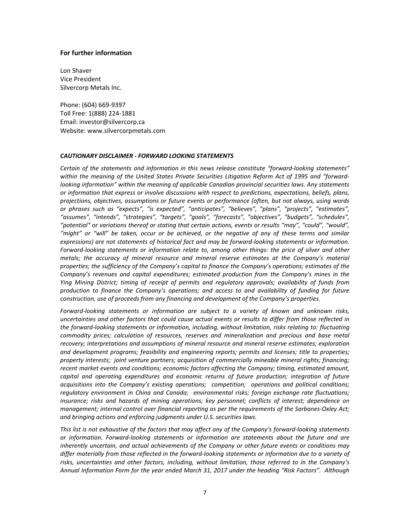#### **For further information**

Lon Shaver Vice President Silvercorp Metals Inc.

Phone: (604) 669‐9397 Toll Free: 1(888) 224‐1881 Email: investor@silvercorp.ca Website: www.silvercorpmetals.com

#### *CAUTIONARY DISCLAIMER ‐ FORWARD LOOKING STATEMENTS*

*Certain of the statements and information in this news release constitute "forward‐looking statements" within the meaning of the United States Private Securities Litigation Reform Act of 1995 and "forward‐ looking information" within the meaning of applicable Canadian provincial securities laws. Any statements or information that express or involve discussions with respect to predictions, expectations, beliefs, plans, projections, objectives, assumptions or future events or performance (often, but not always, using words or phrases such as "expects", "is expected", "anticipates", "believes", "plans", "projects", "estimates", "assumes", "intends", "strategies", "targets", "goals", "forecasts", "objectives", "budgets", "schedules", "potential" or variations thereof or stating that certain actions, events or results "may", "could", "would", "might" or "will" be taken, occur or be achieved, or the negative of any of these terms and similar expressions) are not statements of historical fact and may be forward‐looking statements or information. Forward‐looking statements or information relate to, among other things: the price of silver and other metals; the accuracy of mineral resource and mineral reserve estimates at the Company's material properties; the sufficiency of the Company's capital to finance the Company's operations; estimates of the Company's revenues and capital expenditures; estimated production from the Company's mines in the Ying Mining District; timing of receipt of permits and regulatory approvals; availability of funds from production to finance the Company's operations; and access to and availability of funding for future construction, use of proceeds from any financing and development of the Company's properties.* 

*Forward‐looking statements or information are subject to a variety of known and unknown risks, uncertainties and other factors that could cause actual events or results to differ from those reflected in the forward‐looking statements or information, including, without limitation, risks relating to: fluctuating commodity prices; calculation of resources, reserves and mineralization and precious and base metal recovery; interpretations and assumptions of mineral resource and mineral reserve estimates; exploration and development programs; feasibility and engineering reports; permits and licenses; title to properties; property interests; joint venture partners; acquisition of commercially mineable mineral rights; financing; recent market events and conditions; economic factors affecting the Company; timing, estimated amount, capital and operating expenditures and economic returns of future production; integration of future acquisitions into the Company's existing operations; competition; operations and political conditions; regulatory environment in China and Canada; environmental risks; foreign exchange rate fluctuations; insurance; risks and hazards of mining operations; key personnel; conflicts of interest; dependence on management; internal control over financial reporting as per the requirements of the Sarbanes‐Oxley Act; and bringing actions and enforcing judgments under U.S. securities laws.* 

*This list is not exhaustive of the factors that may affect any of the Company's forward‐looking statements or information. Forward‐looking statements or information are statements about the future and are inherently uncertain, and actual achievements of the Company or other future events or conditions may differ materially from those reflected in the forward‐looking statements or information due to a variety of risks, uncertainties and other factors, including, without limitation, those referred to in the Company's Annual Information Form for the year ended March 31, 2017 under the heading "Risk Factors". Although*